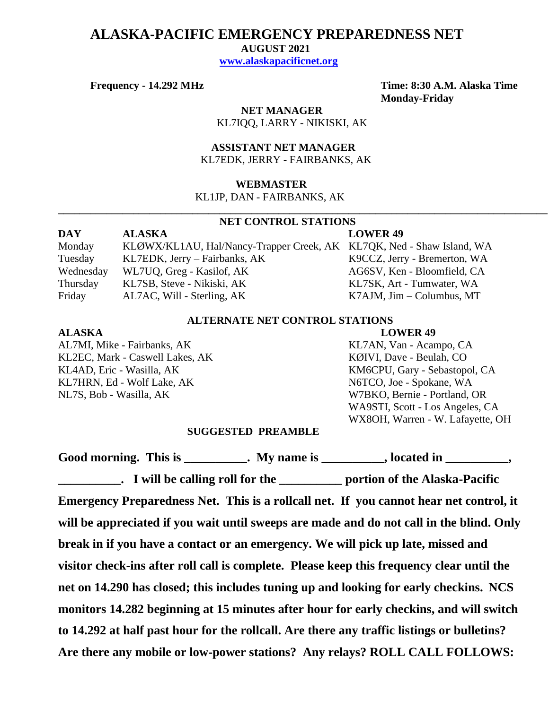# **ALASKA-PACIFIC EMERGENCY PREPAREDNESS NET**

 **AUGUST 2021**

 **[www.alaskapacificnet.org](http://www.alaskapacificnet.org/)**

**Frequency - 14.292 MHz Time: 8:30 A.M. Alaska Time Monday-Friday**

> **NET MANAGER** KL7IQQ, LARRY - NIKISKI, AK

 **ASSISTANT NET MANAGER**  KL7EDK, JERRY - FAIRBANKS, AK

#### **WEBMASTER**

KL1JP, DAN - FAIRBANKS, AK

# **NET CONTROL STATIONS**

**\_\_\_\_\_\_\_\_\_\_\_\_\_\_\_\_\_\_\_\_\_\_\_\_\_\_\_\_\_\_\_\_\_\_\_\_\_\_\_\_\_\_\_\_\_\_\_\_\_\_\_\_\_\_\_\_\_\_\_\_\_\_\_\_\_\_\_\_\_\_\_\_\_\_\_\_\_\_\_\_\_\_\_\_\_\_\_\_\_\_\_**

| DAY       | <b>ALASKA</b>                                                         | <b>LOWER 49</b>                   |
|-----------|-----------------------------------------------------------------------|-----------------------------------|
| Monday    | KLØWX/KL1AU, Hal/Nancy-Trapper Creek, AK KL7QK, Ned - Shaw Island, WA |                                   |
| Tuesday   | KL7EDK, Jerry – Fairbanks, AK                                         | K9CCZ, Jerry - Bremerton, WA      |
| Wednesday | WL7UQ, Greg - Kasilof, AK                                             | AG6SV, Ken - Bloomfield, CA       |
| Thursday  | KL7SB, Steve - Nikiski, AK                                            | KL7SK, Art - Tumwater, WA         |
| Friday    | AL7AC, Will - Sterling, AK                                            | $K7AJM$ , $Jim - Columbus$ , $MT$ |

### **ALTERNATE NET CONTROL STATIONS**

### **ALASKA LOWER 49**

AL7MI, Mike - Fairbanks, AK KL7AN, Van - Acampo, CA KL2EC, Mark - Caswell Lakes, AK KØIVI, Dave - Beulah, CO KL4AD, Eric - Wasilla, AK KM6CPU, Gary - Sebastopol, CA KL7HRN, Ed - Wolf Lake, AK N6TCO, Joe - Spokane, WA NL7S, Bob - Wasilla, AK W7BKO, Bernie - Portland, OR

WA9STI, Scott - Los Angeles, CA WX8OH, Warren - W. Lafayette, OH

#### **SUGGESTED PREAMBLE**

Good morning. This is \_\_\_\_\_\_\_\_\_\_. My name is \_\_\_\_\_\_\_\_\_, located in \_\_\_\_\_\_\_\_\_, **\_\_\_\_\_\_\_\_\_\_. I will be calling roll for the \_\_\_\_\_\_\_\_\_\_ portion of the Alaska-Pacific Emergency Preparedness Net. This is a rollcall net. If you cannot hear net control, it will be appreciated if you wait until sweeps are made and do not call in the blind. Only break in if you have a contact or an emergency. We will pick up late, missed and visitor check-ins after roll call is complete. Please keep this frequency clear until the net on 14.290 has closed; this includes tuning up and looking for early checkins. NCS monitors 14.282 beginning at 15 minutes after hour for early checkins, and will switch to 14.292 at half past hour for the rollcall. Are there any traffic listings or bulletins? Are there any mobile or low-power stations? Any relays? ROLL CALL FOLLOWS:**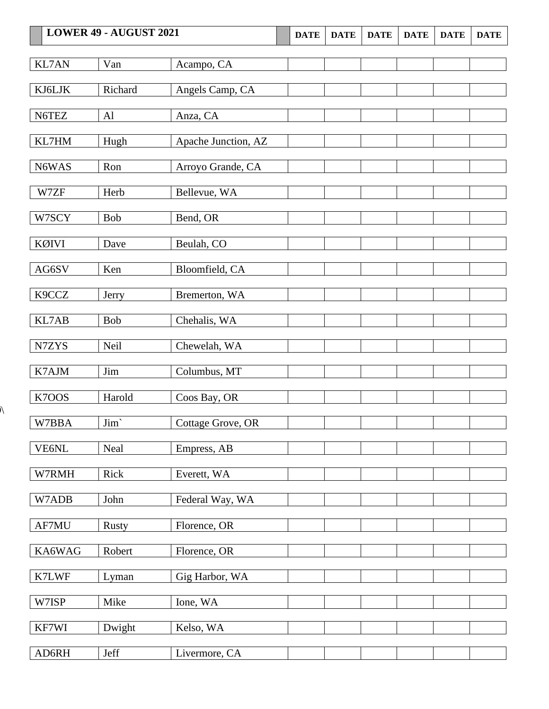| LOWER 49 - AUGUST 2021 |              | <b>DATE</b>         | <b>DATE</b> | <b>DATE</b> | <b>DATE</b> | <b>DATE</b> | <b>DATE</b> |  |
|------------------------|--------------|---------------------|-------------|-------------|-------------|-------------|-------------|--|
| KL7AN                  | Van          | Acampo, CA          |             |             |             |             |             |  |
|                        |              |                     |             |             |             |             |             |  |
| KJ6LJK                 | Richard      | Angels Camp, CA     |             |             |             |             |             |  |
| N6TEZ                  | Al           | Anza, CA            |             |             |             |             |             |  |
| KL7HM                  | Hugh         | Apache Junction, AZ |             |             |             |             |             |  |
| N6WAS                  | Ron          | Arroyo Grande, CA   |             |             |             |             |             |  |
| W7ZF                   | Herb         | Bellevue, WA        |             |             |             |             |             |  |
| W7SCY                  | <b>Bob</b>   | Bend, OR            |             |             |             |             |             |  |
| KØIVI                  | Dave         | Beulah, CO          |             |             |             |             |             |  |
| AG6SV                  | Ken          | Bloomfield, CA      |             |             |             |             |             |  |
| K9CCZ                  | Jerry        | Bremerton, WA       |             |             |             |             |             |  |
| KL7AB                  | Bob          | Chehalis, WA        |             |             |             |             |             |  |
| N7ZYS                  | Neil         | Chewelah, WA        |             |             |             |             |             |  |
| K7AJM                  | Jim          | Columbus, MT        |             |             |             |             |             |  |
| K7OOS                  | Harold       | Coos Bay, OR        |             |             |             |             |             |  |
| W7BBA                  | Jim`         | Cottage Grove, OR   |             |             |             |             |             |  |
| VE6NL                  | Neal         | Empress, AB         |             |             |             |             |             |  |
| W7RMH                  | Rick         | Everett, WA         |             |             |             |             |             |  |
| W7ADB                  | John         | Federal Way, WA     |             |             |             |             |             |  |
| AF7MU                  | <b>Rusty</b> | Florence, OR        |             |             |             |             |             |  |
| KA6WAG                 | Robert       | Florence, OR        |             |             |             |             |             |  |
| K7LWF                  | Lyman        | Gig Harbor, WA      |             |             |             |             |             |  |
| W7ISP                  | Mike         | Ione, WA            |             |             |             |             |             |  |
| KF7WI                  | Dwight       | Kelso, WA           |             |             |             |             |             |  |
| AD6RH                  | Jeff         | Livermore, CA       |             |             |             |             |             |  |

 $\lambda$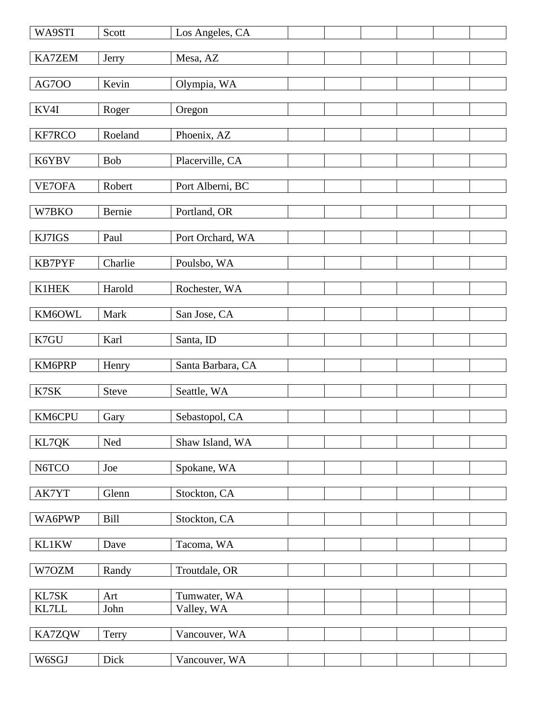| WA9STI        | Scott      | Los Angeles, CA   |  |  |
|---------------|------------|-------------------|--|--|
| <b>KA7ZEM</b> | Jerry      | Mesa, AZ          |  |  |
| AG7OO         | Kevin      | Olympia, WA       |  |  |
| KV4I          | Roger      | Oregon            |  |  |
| KF7RCO        | Roeland    | Phoenix, AZ       |  |  |
| K6YBV         | <b>Bob</b> | Placerville, CA   |  |  |
| VE7OFA        | Robert     | Port Alberni, BC  |  |  |
| W7BKO         | Bernie     | Portland, OR      |  |  |
| KJ7IGS        | Paul       | Port Orchard, WA  |  |  |
| KB7PYF        | Charlie    | Poulsbo, WA       |  |  |
|               |            |                   |  |  |
| K1HEK         | Harold     | Rochester, WA     |  |  |
| KM6OWL        | Mark       | San Jose, CA      |  |  |
| K7GU          | Karl       | Santa, ID         |  |  |
| KM6PRP        | Henry      | Santa Barbara, CA |  |  |
| K7SK          | Steve      | Seattle, WA       |  |  |
| KM6CPU        | Gary       | Sebastopol, CA    |  |  |
| KL7QK         | Ned        | Shaw Island, WA   |  |  |
| N6TCO         | Joe        | Spokane, WA       |  |  |
| AK7YT         | Glenn      | Stockton, CA      |  |  |
| WA6PWP        | Bill       | Stockton, CA      |  |  |
| KL1KW         | Dave       | Tacoma, WA        |  |  |
|               |            |                   |  |  |
| W7OZM         | Randy      | Troutdale, OR     |  |  |
| KL7SK         | Art        | Tumwater, WA      |  |  |
| KL7LL         | John       | Valley, WA        |  |  |
| KA7ZQW        | Terry      | Vancouver, WA     |  |  |
| W6SGJ         | Dick       | Vancouver, WA     |  |  |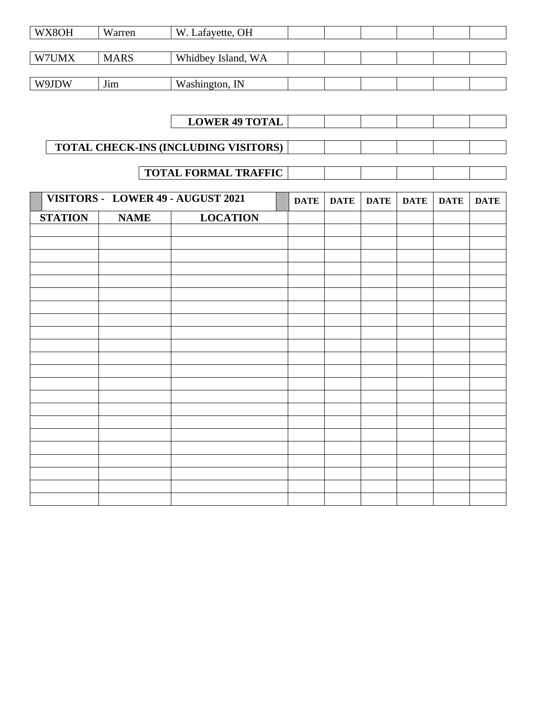| WX8OH | Warren      | W. Lafayette, OH   |  |  |  |
|-------|-------------|--------------------|--|--|--|
|       |             |                    |  |  |  |
| W7UMX | <b>MARS</b> | Whidbey Island, WA |  |  |  |
|       |             |                    |  |  |  |
| W9JDW | Jim         | Washington, IN     |  |  |  |

# **LOWER 49 TOTAL**

# **TOTAL CHECK-INS (INCLUDING VISITORS)**

# **TOTAL FORMAL TRAFFIC**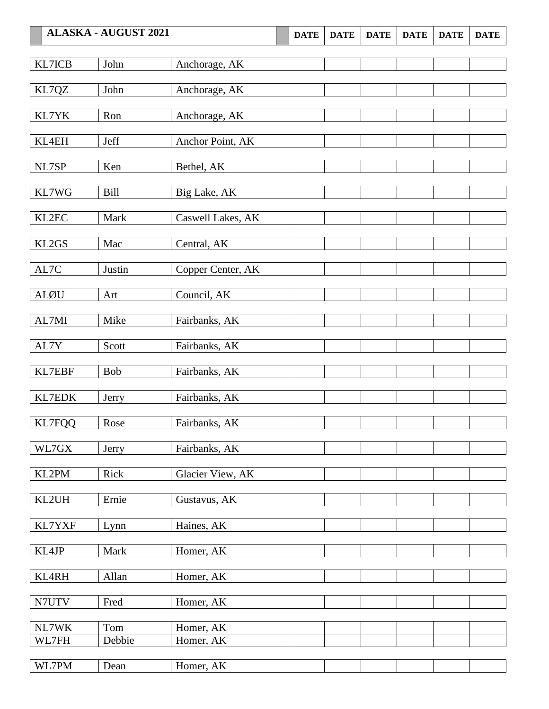|                | <b>ALASKA - AUGUST 2021</b> |                        | <b>DATE</b> | <b>DATE</b> | <b>DATE</b> | <b>DATE</b> | <b>DATE</b> | <b>DATE</b> |
|----------------|-----------------------------|------------------------|-------------|-------------|-------------|-------------|-------------|-------------|
| KL7ICB         | John                        | Anchorage, AK          |             |             |             |             |             |             |
|                |                             |                        |             |             |             |             |             |             |
| KL7QZ          | John                        | Anchorage, AK          |             |             |             |             |             |             |
| KL7YK          | Ron                         | Anchorage, AK          |             |             |             |             |             |             |
| KL4EH          | Jeff                        | Anchor Point, AK       |             |             |             |             |             |             |
| NL7SP          | Ken                         | Bethel, AK             |             |             |             |             |             |             |
| KL7WG          | <b>Bill</b>                 | Big Lake, AK           |             |             |             |             |             |             |
| KL2EC          | Mark                        | Caswell Lakes, AK      |             |             |             |             |             |             |
| KL2GS          | Mac                         | Central, AK            |             |             |             |             |             |             |
| AL7C           | Justin                      | Copper Center, AK      |             |             |             |             |             |             |
| <b>ALØU</b>    | Art                         | Council, AK            |             |             |             |             |             |             |
| AL7MI          | Mike                        | Fairbanks, AK          |             |             |             |             |             |             |
| AL7Y           | Scott                       | Fairbanks, AK          |             |             |             |             |             |             |
| <b>KL7EBF</b>  | <b>Bob</b>                  | Fairbanks, AK          |             |             |             |             |             |             |
| <b>KL7EDK</b>  | Jerry                       | Fairbanks, AK          |             |             |             |             |             |             |
| <b>KL7FQQ</b>  | Rose                        | Fairbanks, AK          |             |             |             |             |             |             |
| WL7GX          | Jerry                       | Fairbanks, AK          |             |             |             |             |             |             |
| KL2PM          | Rick                        | Glacier View, AK       |             |             |             |             |             |             |
| KL2UH          | Ernie                       | Gustavus, AK           |             |             |             |             |             |             |
| KL7YXF         | Lynn                        | Haines, AK             |             |             |             |             |             |             |
| KL4JP          | Mark                        | Homer, AK              |             |             |             |             |             |             |
| KL4RH          | Allan                       | Homer, AK              |             |             |             |             |             |             |
| N7UTV          | Fred                        | Homer, AK              |             |             |             |             |             |             |
|                |                             |                        |             |             |             |             |             |             |
| NL7WK<br>WL7FH | Tom<br>Debbie               | Homer, AK<br>Homer, AK |             |             |             |             |             |             |
|                |                             |                        |             |             |             |             |             |             |
| WL7PM          | Dean                        | Homer, AK              |             |             |             |             |             |             |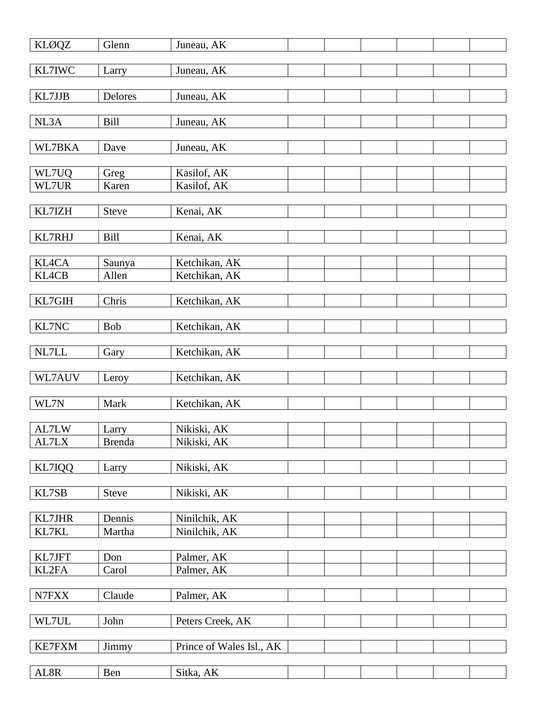| <b>KLØQZ</b>    | Glenn                  | Juneau, AK                     |  |  |  |
|-----------------|------------------------|--------------------------------|--|--|--|
| KL7IWC          | Larry                  | Juneau, AK                     |  |  |  |
| KL7JJB          | <b>Delores</b>         | Juneau, AK                     |  |  |  |
| NL3A            | <b>Bill</b>            | Juneau, AK                     |  |  |  |
| WL7BKA          | Dave                   | Juneau, AK                     |  |  |  |
| WL7UQ<br>WL7UR  | Greg<br>Karen          | Kasilof, AK<br>Kasilof, AK     |  |  |  |
| KL7IZH          | <b>Steve</b>           | Kenai, AK                      |  |  |  |
| KL7RHJ          | Bill                   | Kenai, AK                      |  |  |  |
| KL4CA           | Saunya                 | Ketchikan, AK                  |  |  |  |
| KL4CB           | Allen                  | Ketchikan, AK                  |  |  |  |
| KL7GIH          | Chris                  | Ketchikan, AK                  |  |  |  |
| KL7NC           | Bob                    | Ketchikan, AK                  |  |  |  |
| $\it NL7LL$     | Gary                   | Ketchikan, AK                  |  |  |  |
| WL7AUV          | Leroy                  | Ketchikan, AK                  |  |  |  |
| WL7N            | Mark                   | Ketchikan, AK                  |  |  |  |
| AL7LW<br>AL7LX  | Larry<br><b>Brenda</b> | Nikiski, AK<br>Nikiski, AK     |  |  |  |
| KL7IQQ          | Larry                  | Nikiski, AK                    |  |  |  |
| KL7SB           | <b>Steve</b>           | Nikiski, AK                    |  |  |  |
| KL7JHR<br>KL7KL | Dennis<br>Martha       | Ninilchik, AK<br>Ninilchik, AK |  |  |  |
| KL7JFT<br>KL2FA | Don<br>Carol           | Palmer, AK<br>Palmer, AK       |  |  |  |
| ${\rm N7FXX}$   | Claude                 | Palmer, AK                     |  |  |  |
| WL7UL           | John                   | Peters Creek, AK               |  |  |  |
| KE7FXM          | Jimmy                  | Prince of Wales Isl., AK       |  |  |  |
| AL8R            | Ben                    | Sitka, AK                      |  |  |  |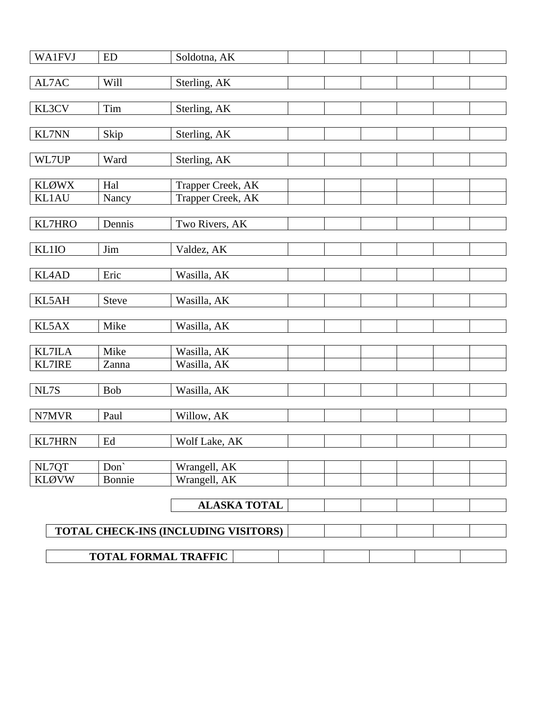| <b>WA1FVJ</b>  | <b>ED</b>           | Soldotna, AK                         |  |  |
|----------------|---------------------|--------------------------------------|--|--|
|                |                     |                                      |  |  |
| $\text{AL7AC}$ | <b>Will</b>         | Sterling, AK                         |  |  |
|                |                     |                                      |  |  |
| KL3CV          | Tim                 | Sterling, AK                         |  |  |
|                |                     |                                      |  |  |
| <b>KL7NN</b>   | Skip                | Sterling, AK                         |  |  |
|                |                     |                                      |  |  |
| WL7UP          | Ward                | Sterling, AK                         |  |  |
|                |                     |                                      |  |  |
| <b>KLØWX</b>   | Hal                 | Trapper Creek, AK                    |  |  |
| KL1AU          | Nancy               | Trapper Creek, AK                    |  |  |
| <b>KL7HRO</b>  | Dennis              | Two Rivers, AK                       |  |  |
|                |                     |                                      |  |  |
| KL1IO          | Jim                 | Valdez, AK                           |  |  |
|                |                     |                                      |  |  |
| KL4AD          | Eric                | Wasilla, AK                          |  |  |
|                |                     |                                      |  |  |
| KL5AH          | Steve               | Wasilla, AK                          |  |  |
|                |                     |                                      |  |  |
| KL5AX          | Mike                | Wasilla, AK                          |  |  |
|                |                     |                                      |  |  |
| <b>KL7ILA</b>  | Mike                | Wasilla, AK                          |  |  |
| <b>KL7IRE</b>  | Zanna               | Wasilla, AK                          |  |  |
|                |                     |                                      |  |  |
| $\rm NL7S$     | <b>Bob</b>          | Wasilla, AK                          |  |  |
| N7MVR          | Paul                | Willow, AK                           |  |  |
|                |                     |                                      |  |  |
| <b>KL7HRN</b>  | $\operatorname{Ed}$ | Wolf Lake, AK                        |  |  |
|                |                     |                                      |  |  |
| NL7QT          | Don'                | Wrangell, AK                         |  |  |
| <b>KLØVW</b>   | Bonnie              | Wrangell, AK                         |  |  |
|                |                     |                                      |  |  |
|                |                     | <b>ALASKA TOTAL</b>                  |  |  |
|                |                     |                                      |  |  |
|                |                     | TOTAL CHECK-INS (INCLUDING VISITORS) |  |  |
|                |                     |                                      |  |  |
|                |                     | <b>TOTAL FORMAL TRAFFIC</b>          |  |  |